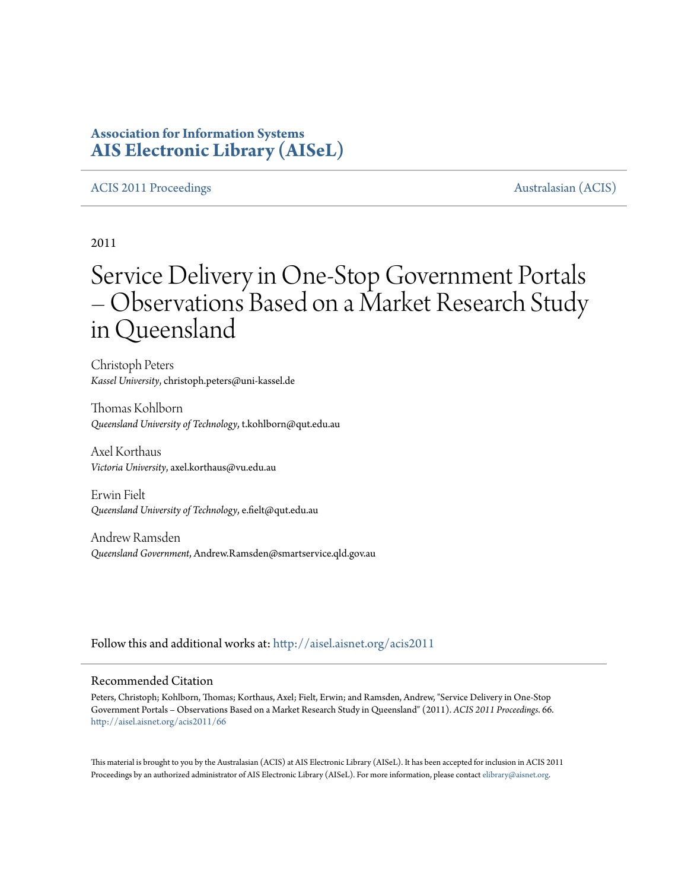# **Association for Information Systems [AIS Electronic Library \(AISeL\)](http://aisel.aisnet.org?utm_source=aisel.aisnet.org%2Facis2011%2F66&utm_medium=PDF&utm_campaign=PDFCoverPages)**

## [ACIS 2011 Proceedings](http://aisel.aisnet.org/acis2011?utm_source=aisel.aisnet.org%2Facis2011%2F66&utm_medium=PDF&utm_campaign=PDFCoverPages) **[Australasian \(ACIS\)](http://aisel.aisnet.org/acis?utm_source=aisel.aisnet.org%2Facis2011%2F66&utm_medium=PDF&utm_campaign=PDFCoverPages)**

2011

# Service Delivery in One-Stop Government Portals – Observations Based on a Market Research Study in Queensland

Christoph Peters *Kassel University*, christoph.peters@uni-kassel.de

Thomas Kohlborn *Queensland University of Technology*, t.kohlborn@qut.edu.au

Axel Korthaus *Victoria University*, axel.korthaus@vu.edu.au

Erwin Fielt *Queensland University of Technology*, e.fielt@qut.edu.au

Andrew Ramsden *Queensland Government*, Andrew.Ramsden@smartservice.qld.gov.au

Follow this and additional works at: [http://aisel.aisnet.org/acis2011](http://aisel.aisnet.org/acis2011?utm_source=aisel.aisnet.org%2Facis2011%2F66&utm_medium=PDF&utm_campaign=PDFCoverPages)

### Recommended Citation

Peters, Christoph; Kohlborn, Thomas; Korthaus, Axel; Fielt, Erwin; and Ramsden, Andrew, "Service Delivery in One-Stop Government Portals – Observations Based on a Market Research Study in Queensland" (2011). *ACIS 2011 Proceedings*. 66. [http://aisel.aisnet.org/acis2011/66](http://aisel.aisnet.org/acis2011/66?utm_source=aisel.aisnet.org%2Facis2011%2F66&utm_medium=PDF&utm_campaign=PDFCoverPages)

This material is brought to you by the Australasian (ACIS) at AIS Electronic Library (AISeL). It has been accepted for inclusion in ACIS 2011 Proceedings by an authorized administrator of AIS Electronic Library (AISeL). For more information, please contact [elibrary@aisnet.org](mailto:elibrary@aisnet.org%3E).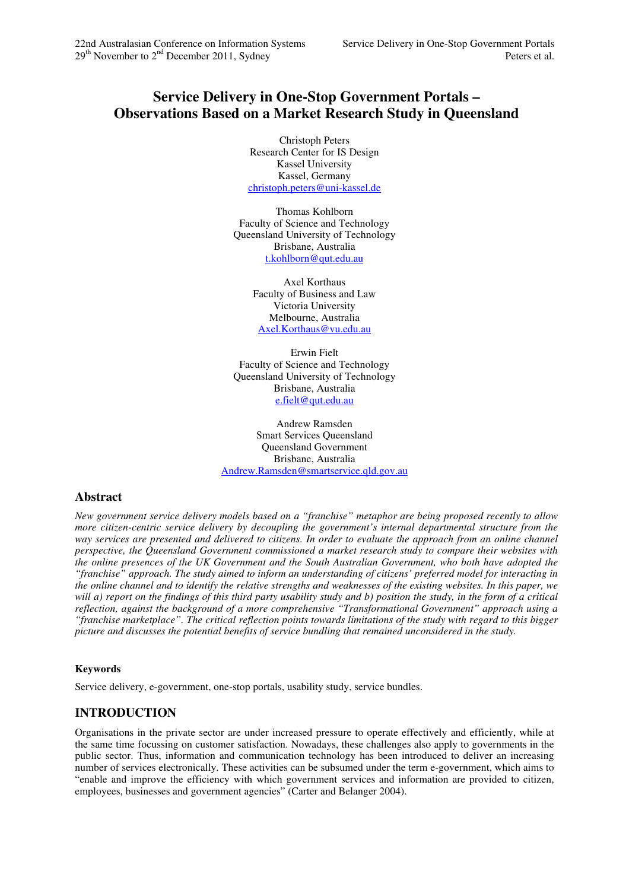# **Service Delivery in One-Stop Government Portals – Observations Based on a Market Research Study in Queensland**

Christoph Peters Research Center for IS Design Kassel University Kassel, Germany christoph.peters@uni-kassel.de

Thomas Kohlborn Faculty of Science and Technology Queensland University of Technology Brisbane, Australia t.kohlborn@qut.edu.au

> Axel Korthaus Faculty of Business and Law Victoria University Melbourne, Australia Axel.Korthaus@vu.edu.au

Erwin Fielt Faculty of Science and Technology Queensland University of Technology Brisbane, Australia e.fielt@qut.edu.au

Andrew Ramsden Smart Services Queensland Queensland Government Brisbane, Australia Andrew.Ramsden@smartservice.qld.gov.au

# **Abstract**

*New government service delivery models based on a "franchise" metaphor are being proposed recently to allow more citizen-centric service delivery by decoupling the government's internal departmental structure from the way services are presented and delivered to citizens. In order to evaluate the approach from an online channel perspective, the Queensland Government commissioned a market research study to compare their websites with the online presences of the UK Government and the South Australian Government, who both have adopted the "franchise" approach. The study aimed to inform an understanding of citizens' preferred model for interacting in the online channel and to identify the relative strengths and weaknesses of the existing websites. In this paper, we will a) report on the findings of this third party usability study and b) position the study, in the form of a critical reflection, against the background of a more comprehensive "Transformational Government" approach using a "franchise marketplace". The critical reflection points towards limitations of the study with regard to this bigger picture and discusses the potential benefits of service bundling that remained unconsidered in the study.* 

## **Keywords**

Service delivery, e-government, one-stop portals, usability study, service bundles.

# **INTRODUCTION**

Organisations in the private sector are under increased pressure to operate effectively and efficiently, while at the same time focussing on customer satisfaction. Nowadays, these challenges also apply to governments in the public sector. Thus, information and communication technology has been introduced to deliver an increasing number of services electronically. These activities can be subsumed under the term e-government, which aims to "enable and improve the efficiency with which government services and information are provided to citizen, employees, businesses and government agencies" (Carter and Belanger 2004).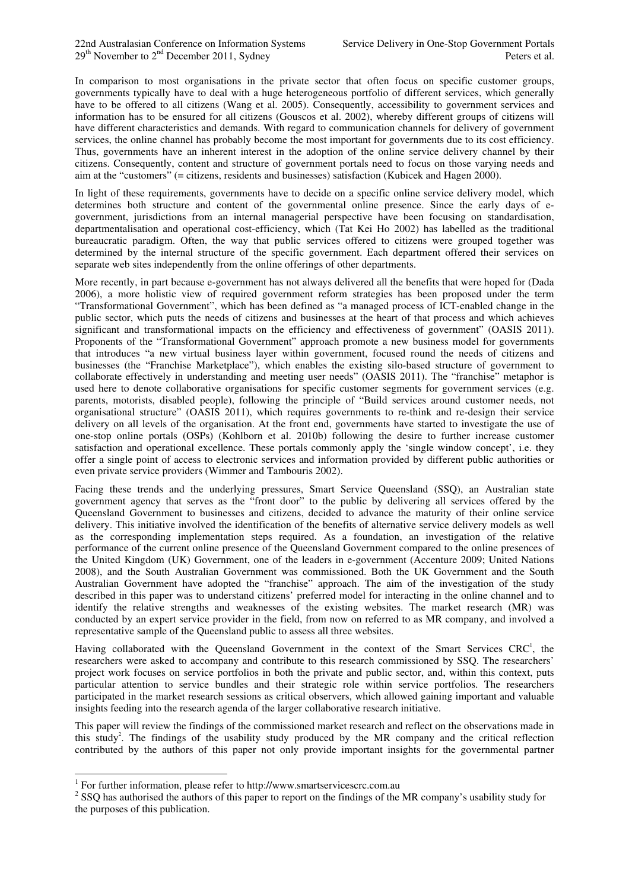In comparison to most organisations in the private sector that often focus on specific customer groups, governments typically have to deal with a huge heterogeneous portfolio of different services, which generally have to be offered to all citizens (Wang et al. 2005). Consequently, accessibility to government services and information has to be ensured for all citizens (Gouscos et al. 2002), whereby different groups of citizens will have different characteristics and demands. With regard to communication channels for delivery of government services, the online channel has probably become the most important for governments due to its cost efficiency. Thus, governments have an inherent interest in the adoption of the online service delivery channel by their citizens. Consequently, content and structure of government portals need to focus on those varying needs and aim at the "customers" (= citizens, residents and businesses) satisfaction (Kubicek and Hagen 2000).

In light of these requirements, governments have to decide on a specific online service delivery model, which determines both structure and content of the governmental online presence. Since the early days of egovernment, jurisdictions from an internal managerial perspective have been focusing on standardisation, departmentalisation and operational cost-efficiency, which (Tat Kei Ho 2002) has labelled as the traditional bureaucratic paradigm. Often, the way that public services offered to citizens were grouped together was determined by the internal structure of the specific government. Each department offered their services on separate web sites independently from the online offerings of other departments.

More recently, in part because e-government has not always delivered all the benefits that were hoped for (Dada 2006), a more holistic view of required government reform strategies has been proposed under the term "Transformational Government", which has been defined as "a managed process of ICT-enabled change in the public sector, which puts the needs of citizens and businesses at the heart of that process and which achieves significant and transformational impacts on the efficiency and effectiveness of government" (OASIS 2011). Proponents of the "Transformational Government" approach promote a new business model for governments that introduces "a new virtual business layer within government, focused round the needs of citizens and businesses (the "Franchise Marketplace"), which enables the existing silo-based structure of government to collaborate effectively in understanding and meeting user needs" (OASIS 2011). The "franchise" metaphor is used here to denote collaborative organisations for specific customer segments for government services (e.g. parents, motorists, disabled people), following the principle of "Build services around customer needs, not organisational structure" (OASIS 2011), which requires governments to re-think and re-design their service delivery on all levels of the organisation. At the front end, governments have started to investigate the use of one-stop online portals (OSPs) (Kohlborn et al. 2010b) following the desire to further increase customer satisfaction and operational excellence. These portals commonly apply the 'single window concept', i.e. they offer a single point of access to electronic services and information provided by different public authorities or even private service providers (Wimmer and Tambouris 2002).

Facing these trends and the underlying pressures, Smart Service Queensland (SSQ), an Australian state government agency that serves as the "front door" to the public by delivering all services offered by the Queensland Government to businesses and citizens, decided to advance the maturity of their online service delivery. This initiative involved the identification of the benefits of alternative service delivery models as well as the corresponding implementation steps required. As a foundation, an investigation of the relative performance of the current online presence of the Queensland Government compared to the online presences of the United Kingdom (UK) Government, one of the leaders in e-government (Accenture 2009; United Nations 2008), and the South Australian Government was commissioned. Both the UK Government and the South Australian Government have adopted the "franchise" approach. The aim of the investigation of the study described in this paper was to understand citizens' preferred model for interacting in the online channel and to identify the relative strengths and weaknesses of the existing websites. The market research (MR) was conducted by an expert service provider in the field, from now on referred to as MR company, and involved a representative sample of the Queensland public to assess all three websites.

Having collaborated with the Queensland Government in the context of the Smart Services  $CRC<sup>1</sup>$ , the researchers were asked to accompany and contribute to this research commissioned by SSQ. The researchers' project work focuses on service portfolios in both the private and public sector, and, within this context, puts particular attention to service bundles and their strategic role within service portfolios. The researchers participated in the market research sessions as critical observers, which allowed gaining important and valuable insights feeding into the research agenda of the larger collaborative research initiative.

This paper will review the findings of the commissioned market research and reflect on the observations made in this study<sup>2</sup>. The findings of the usability study produced by the MR company and the critical reflection contributed by the authors of this paper not only provide important insights for the governmental partner

 1 For further information, please refer to http://www.smartservicescrc.com.au

 $2^{2}$  SSQ has authorised the authors of this paper to report on the findings of the MR company's usability study for the purposes of this publication.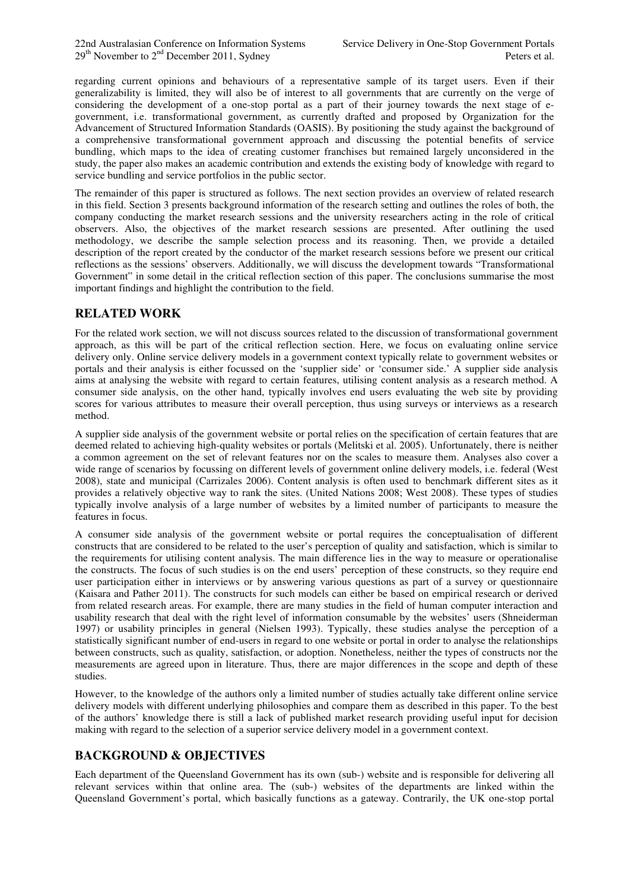regarding current opinions and behaviours of a representative sample of its target users. Even if their generalizability is limited, they will also be of interest to all governments that are currently on the verge of considering the development of a one-stop portal as a part of their journey towards the next stage of egovernment, i.e. transformational government, as currently drafted and proposed by Organization for the Advancement of Structured Information Standards (OASIS). By positioning the study against the background of a comprehensive transformational government approach and discussing the potential benefits of service bundling, which maps to the idea of creating customer franchises but remained largely unconsidered in the study, the paper also makes an academic contribution and extends the existing body of knowledge with regard to service bundling and service portfolios in the public sector.

The remainder of this paper is structured as follows. The next section provides an overview of related research in this field. Section 3 presents background information of the research setting and outlines the roles of both, the company conducting the market research sessions and the university researchers acting in the role of critical observers. Also, the objectives of the market research sessions are presented. After outlining the used methodology, we describe the sample selection process and its reasoning. Then, we provide a detailed description of the report created by the conductor of the market research sessions before we present our critical reflections as the sessions' observers. Additionally, we will discuss the development towards "Transformational Government" in some detail in the critical reflection section of this paper. The conclusions summarise the most important findings and highlight the contribution to the field.

# **RELATED WORK**

For the related work section, we will not discuss sources related to the discussion of transformational government approach, as this will be part of the critical reflection section. Here, we focus on evaluating online service delivery only. Online service delivery models in a government context typically relate to government websites or portals and their analysis is either focussed on the 'supplier side' or 'consumer side.' A supplier side analysis aims at analysing the website with regard to certain features, utilising content analysis as a research method. A consumer side analysis, on the other hand, typically involves end users evaluating the web site by providing scores for various attributes to measure their overall perception, thus using surveys or interviews as a research method.

A supplier side analysis of the government website or portal relies on the specification of certain features that are deemed related to achieving high-quality websites or portals (Melitski et al. 2005). Unfortunately, there is neither a common agreement on the set of relevant features nor on the scales to measure them. Analyses also cover a wide range of scenarios by focussing on different levels of government online delivery models, i.e. federal (West 2008), state and municipal (Carrizales 2006). Content analysis is often used to benchmark different sites as it provides a relatively objective way to rank the sites. (United Nations 2008; West 2008). These types of studies typically involve analysis of a large number of websites by a limited number of participants to measure the features in focus.

A consumer side analysis of the government website or portal requires the conceptualisation of different constructs that are considered to be related to the user's perception of quality and satisfaction, which is similar to the requirements for utilising content analysis. The main difference lies in the way to measure or operationalise the constructs. The focus of such studies is on the end users' perception of these constructs, so they require end user participation either in interviews or by answering various questions as part of a survey or questionnaire (Kaisara and Pather 2011). The constructs for such models can either be based on empirical research or derived from related research areas. For example, there are many studies in the field of human computer interaction and usability research that deal with the right level of information consumable by the websites' users (Shneiderman 1997) or usability principles in general (Nielsen 1993). Typically, these studies analyse the perception of a statistically significant number of end-users in regard to one website or portal in order to analyse the relationships between constructs, such as quality, satisfaction, or adoption. Nonetheless, neither the types of constructs nor the measurements are agreed upon in literature. Thus, there are major differences in the scope and depth of these studies.

However, to the knowledge of the authors only a limited number of studies actually take different online service delivery models with different underlying philosophies and compare them as described in this paper. To the best of the authors' knowledge there is still a lack of published market research providing useful input for decision making with regard to the selection of a superior service delivery model in a government context.

# **BACKGROUND & OBJECTIVES**

Each department of the Queensland Government has its own (sub-) website and is responsible for delivering all relevant services within that online area. The (sub-) websites of the departments are linked within the Queensland Government's portal, which basically functions as a gateway. Contrarily, the UK one-stop portal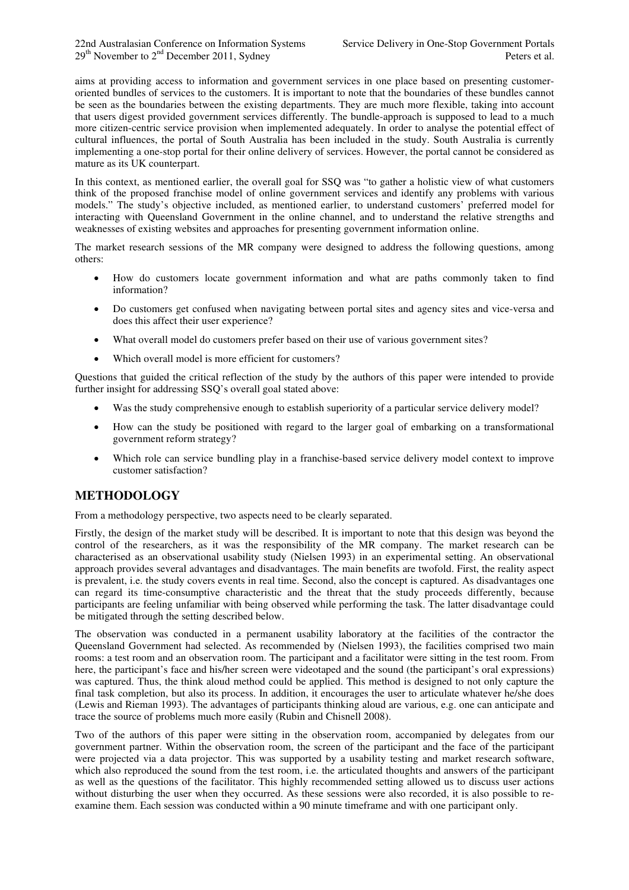aims at providing access to information and government services in one place based on presenting customeroriented bundles of services to the customers. It is important to note that the boundaries of these bundles cannot be seen as the boundaries between the existing departments. They are much more flexible, taking into account that users digest provided government services differently. The bundle-approach is supposed to lead to a much more citizen-centric service provision when implemented adequately. In order to analyse the potential effect of cultural influences, the portal of South Australia has been included in the study. South Australia is currently implementing a one-stop portal for their online delivery of services. However, the portal cannot be considered as mature as its UK counterpart.

In this context, as mentioned earlier, the overall goal for SSQ was "to gather a holistic view of what customers think of the proposed franchise model of online government services and identify any problems with various models." The study's objective included, as mentioned earlier, to understand customers' preferred model for interacting with Queensland Government in the online channel, and to understand the relative strengths and weaknesses of existing websites and approaches for presenting government information online.

The market research sessions of the MR company were designed to address the following questions, among others:

- How do customers locate government information and what are paths commonly taken to find information?
- Do customers get confused when navigating between portal sites and agency sites and vice-versa and does this affect their user experience?
- What overall model do customers prefer based on their use of various government sites?
- Which overall model is more efficient for customers?

Questions that guided the critical reflection of the study by the authors of this paper were intended to provide further insight for addressing SSQ's overall goal stated above:

- Was the study comprehensive enough to establish superiority of a particular service delivery model?
- How can the study be positioned with regard to the larger goal of embarking on a transformational government reform strategy?
- Which role can service bundling play in a franchise-based service delivery model context to improve customer satisfaction?

# **METHODOLOGY**

From a methodology perspective, two aspects need to be clearly separated.

Firstly, the design of the market study will be described. It is important to note that this design was beyond the control of the researchers, as it was the responsibility of the MR company. The market research can be characterised as an observational usability study (Nielsen 1993) in an experimental setting. An observational approach provides several advantages and disadvantages. The main benefits are twofold. First, the reality aspect is prevalent, i.e. the study covers events in real time. Second, also the concept is captured. As disadvantages one can regard its time-consumptive characteristic and the threat that the study proceeds differently, because participants are feeling unfamiliar with being observed while performing the task. The latter disadvantage could be mitigated through the setting described below.

The observation was conducted in a permanent usability laboratory at the facilities of the contractor the Queensland Government had selected. As recommended by (Nielsen 1993), the facilities comprised two main rooms: a test room and an observation room. The participant and a facilitator were sitting in the test room. From here, the participant's face and his/her screen were videotaped and the sound (the participant's oral expressions) was captured. Thus, the think aloud method could be applied. This method is designed to not only capture the final task completion, but also its process. In addition, it encourages the user to articulate whatever he/she does (Lewis and Rieman 1993). The advantages of participants thinking aloud are various, e.g. one can anticipate and trace the source of problems much more easily (Rubin and Chisnell 2008).

Two of the authors of this paper were sitting in the observation room, accompanied by delegates from our government partner. Within the observation room, the screen of the participant and the face of the participant were projected via a data projector. This was supported by a usability testing and market research software, which also reproduced the sound from the test room, i.e. the articulated thoughts and answers of the participant as well as the questions of the facilitator. This highly recommended setting allowed us to discuss user actions without disturbing the user when they occurred. As these sessions were also recorded, it is also possible to reexamine them. Each session was conducted within a 90 minute timeframe and with one participant only.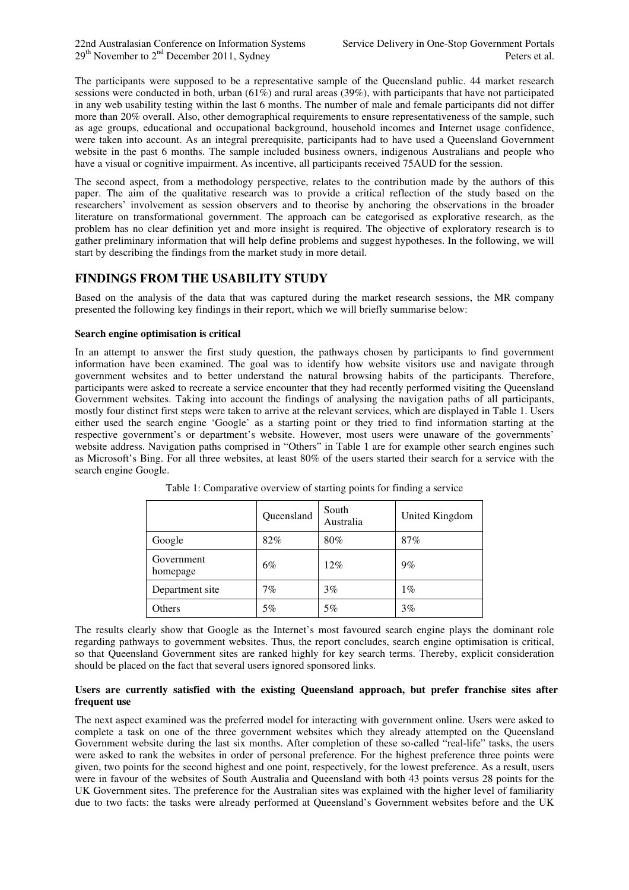$29<sup>th</sup>$  November to  $2<sup>nd</sup>$  December 2011, Sydney Peters et al.

The participants were supposed to be a representative sample of the Queensland public. 44 market research sessions were conducted in both, urban  $(61%)$  and rural areas  $(39%)$ , with participants that have not participated in any web usability testing within the last 6 months. The number of male and female participants did not differ more than 20% overall. Also, other demographical requirements to ensure representativeness of the sample, such as age groups, educational and occupational background, household incomes and Internet usage confidence, were taken into account. As an integral prerequisite, participants had to have used a Queensland Government website in the past 6 months. The sample included business owners, indigenous Australians and people who have a visual or cognitive impairment. As incentive, all participants received 75AUD for the session.

The second aspect, from a methodology perspective, relates to the contribution made by the authors of this paper. The aim of the qualitative research was to provide a critical reflection of the study based on the researchers' involvement as session observers and to theorise by anchoring the observations in the broader literature on transformational government. The approach can be categorised as explorative research, as the problem has no clear definition yet and more insight is required. The objective of exploratory research is to gather preliminary information that will help define problems and suggest hypotheses. In the following, we will start by describing the findings from the market study in more detail.

## **FINDINGS FROM THE USABILITY STUDY**

Based on the analysis of the data that was captured during the market research sessions, the MR company presented the following key findings in their report, which we will briefly summarise below:

#### **Search engine optimisation is critical**

In an attempt to answer the first study question, the pathways chosen by participants to find government information have been examined. The goal was to identify how website visitors use and navigate through government websites and to better understand the natural browsing habits of the participants. Therefore, participants were asked to recreate a service encounter that they had recently performed visiting the Queensland Government websites. Taking into account the findings of analysing the navigation paths of all participants, mostly four distinct first steps were taken to arrive at the relevant services, which are displayed in Table 1. Users either used the search engine 'Google' as a starting point or they tried to find information starting at the respective government's or department's website. However, most users were unaware of the governments' website address. Navigation paths comprised in "Others" in Table 1 are for example other search engines such as Microsoft's Bing. For all three websites, at least 80% of the users started their search for a service with the search engine Google.

|                        | Queensland | South<br>Australia | United Kingdom |
|------------------------|------------|--------------------|----------------|
| Google                 | 82%        | 80%                | 87%            |
| Government<br>homepage | 6%         | 12%                | 9%             |
| Department site        | 7%         | 3%                 | $1\%$          |
| Others                 | 5%         | 5%                 | 3%             |

Table 1: Comparative overview of starting points for finding a service

The results clearly show that Google as the Internet's most favoured search engine plays the dominant role regarding pathways to government websites. Thus, the report concludes, search engine optimisation is critical, so that Queensland Government sites are ranked highly for key search terms. Thereby, explicit consideration should be placed on the fact that several users ignored sponsored links.

#### **Users are currently satisfied with the existing Queensland approach, but prefer franchise sites after frequent use**

The next aspect examined was the preferred model for interacting with government online. Users were asked to complete a task on one of the three government websites which they already attempted on the Queensland Government website during the last six months. After completion of these so-called "real-life" tasks, the users were asked to rank the websites in order of personal preference. For the highest preference three points were given, two points for the second highest and one point, respectively, for the lowest preference. As a result, users were in favour of the websites of South Australia and Queensland with both 43 points versus 28 points for the UK Government sites. The preference for the Australian sites was explained with the higher level of familiarity due to two facts: the tasks were already performed at Queensland's Government websites before and the UK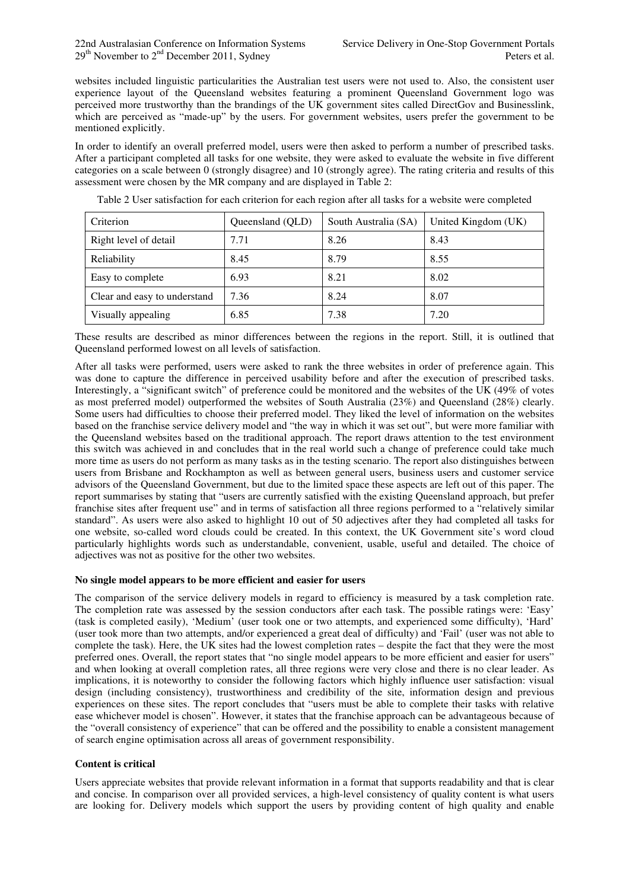websites included linguistic particularities the Australian test users were not used to. Also, the consistent user experience layout of the Queensland websites featuring a prominent Queensland Government logo was perceived more trustworthy than the brandings of the UK government sites called DirectGov and Businesslink, which are perceived as "made-up" by the users. For government websites, users prefer the government to be mentioned explicitly.

In order to identify an overall preferred model, users were then asked to perform a number of prescribed tasks. After a participant completed all tasks for one website, they were asked to evaluate the website in five different categories on a scale between 0 (strongly disagree) and 10 (strongly agree). The rating criteria and results of this assessment were chosen by the MR company and are displayed in Table 2:

| Criterion                    | Queensland (QLD) | South Australia (SA) | United Kingdom (UK) |
|------------------------------|------------------|----------------------|---------------------|
| Right level of detail        | 7.71             | 8.26                 | 8.43                |
| Reliability                  | 8.45             | 8.79                 | 8.55                |
| Easy to complete             | 6.93             | 8.21                 | 8.02                |
| Clear and easy to understand | 7.36             | 8.24                 | 8.07                |
| Visually appealing           | 6.85             | 7.38                 | 7.20                |

Table 2 User satisfaction for each criterion for each region after all tasks for a website were completed

These results are described as minor differences between the regions in the report. Still, it is outlined that Queensland performed lowest on all levels of satisfaction.

After all tasks were performed, users were asked to rank the three websites in order of preference again. This was done to capture the difference in perceived usability before and after the execution of prescribed tasks. Interestingly, a "significant switch" of preference could be monitored and the websites of the UK (49% of votes as most preferred model) outperformed the websites of South Australia (23%) and Queensland (28%) clearly. Some users had difficulties to choose their preferred model. They liked the level of information on the websites based on the franchise service delivery model and "the way in which it was set out", but were more familiar with the Queensland websites based on the traditional approach. The report draws attention to the test environment this switch was achieved in and concludes that in the real world such a change of preference could take much more time as users do not perform as many tasks as in the testing scenario. The report also distinguishes between users from Brisbane and Rockhampton as well as between general users, business users and customer service advisors of the Queensland Government, but due to the limited space these aspects are left out of this paper. The report summarises by stating that "users are currently satisfied with the existing Queensland approach, but prefer franchise sites after frequent use" and in terms of satisfaction all three regions performed to a "relatively similar standard". As users were also asked to highlight 10 out of 50 adjectives after they had completed all tasks for one website, so-called word clouds could be created. In this context, the UK Government site's word cloud particularly highlights words such as understandable, convenient, usable, useful and detailed. The choice of adjectives was not as positive for the other two websites.

#### **No single model appears to be more efficient and easier for users**

The comparison of the service delivery models in regard to efficiency is measured by a task completion rate. The completion rate was assessed by the session conductors after each task. The possible ratings were: 'Easy' (task is completed easily), 'Medium' (user took one or two attempts, and experienced some difficulty), 'Hard' (user took more than two attempts, and/or experienced a great deal of difficulty) and 'Fail' (user was not able to complete the task). Here, the UK sites had the lowest completion rates – despite the fact that they were the most preferred ones. Overall, the report states that "no single model appears to be more efficient and easier for users" and when looking at overall completion rates, all three regions were very close and there is no clear leader. As implications, it is noteworthy to consider the following factors which highly influence user satisfaction: visual design (including consistency), trustworthiness and credibility of the site, information design and previous experiences on these sites. The report concludes that "users must be able to complete their tasks with relative ease whichever model is chosen". However, it states that the franchise approach can be advantageous because of the "overall consistency of experience" that can be offered and the possibility to enable a consistent management of search engine optimisation across all areas of government responsibility.

#### **Content is critical**

Users appreciate websites that provide relevant information in a format that supports readability and that is clear and concise. In comparison over all provided services, a high-level consistency of quality content is what users are looking for. Delivery models which support the users by providing content of high quality and enable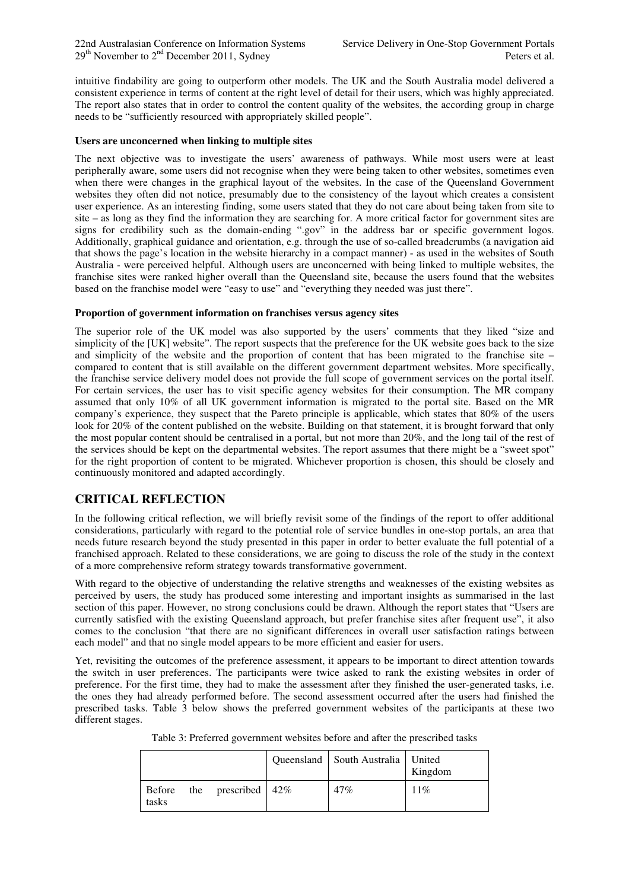intuitive findability are going to outperform other models. The UK and the South Australia model delivered a consistent experience in terms of content at the right level of detail for their users, which was highly appreciated. The report also states that in order to control the content quality of the websites, the according group in charge needs to be "sufficiently resourced with appropriately skilled people".

#### **Users are unconcerned when linking to multiple sites**

The next objective was to investigate the users' awareness of pathways. While most users were at least peripherally aware, some users did not recognise when they were being taken to other websites, sometimes even when there were changes in the graphical layout of the websites. In the case of the Queensland Government websites they often did not notice, presumably due to the consistency of the layout which creates a consistent user experience. As an interesting finding, some users stated that they do not care about being taken from site to site – as long as they find the information they are searching for. A more critical factor for government sites are signs for credibility such as the domain-ending ".gov" in the address bar or specific government logos. Additionally, graphical guidance and orientation, e.g. through the use of so-called breadcrumbs (a navigation aid that shows the page's location in the website hierarchy in a compact manner) - as used in the websites of South Australia - were perceived helpful. Although users are unconcerned with being linked to multiple websites, the franchise sites were ranked higher overall than the Queensland site, because the users found that the websites based on the franchise model were "easy to use" and "everything they needed was just there".

#### **Proportion of government information on franchises versus agency sites**

The superior role of the UK model was also supported by the users' comments that they liked "size and simplicity of the [UK] website". The report suspects that the preference for the UK website goes back to the size and simplicity of the website and the proportion of content that has been migrated to the franchise site – compared to content that is still available on the different government department websites. More specifically, the franchise service delivery model does not provide the full scope of government services on the portal itself. For certain services, the user has to visit specific agency websites for their consumption. The MR company assumed that only 10% of all UK government information is migrated to the portal site. Based on the MR company's experience, they suspect that the Pareto principle is applicable, which states that 80% of the users look for 20% of the content published on the website. Building on that statement, it is brought forward that only the most popular content should be centralised in a portal, but not more than 20%, and the long tail of the rest of the services should be kept on the departmental websites. The report assumes that there might be a "sweet spot" for the right proportion of content to be migrated. Whichever proportion is chosen, this should be closely and continuously monitored and adapted accordingly.

# **CRITICAL REFLECTION**

In the following critical reflection, we will briefly revisit some of the findings of the report to offer additional considerations, particularly with regard to the potential role of service bundles in one-stop portals, an area that needs future research beyond the study presented in this paper in order to better evaluate the full potential of a franchised approach. Related to these considerations, we are going to discuss the role of the study in the context of a more comprehensive reform strategy towards transformative government.

With regard to the objective of understanding the relative strengths and weaknesses of the existing websites as perceived by users, the study has produced some interesting and important insights as summarised in the last section of this paper. However, no strong conclusions could be drawn. Although the report states that "Users are currently satisfied with the existing Queensland approach, but prefer franchise sites after frequent use", it also comes to the conclusion "that there are no significant differences in overall user satisfaction ratings between each model" and that no single model appears to be more efficient and easier for users.

Yet, revisiting the outcomes of the preference assessment, it appears to be important to direct attention towards the switch in user preferences. The participants were twice asked to rank the existing websites in order of preference. For the first time, they had to make the assessment after they finished the user-generated tasks, i.e. the ones they had already performed before. The second assessment occurred after the users had finished the prescribed tasks. Table 3 below shows the preferred government websites of the participants at these two different stages.

|       |                           | Queensland   South Australia   United | Kingdom |
|-------|---------------------------|---------------------------------------|---------|
| tasks | Before the prescribed 42% | 47%                                   | 11%     |

Table 3: Preferred government websites before and after the prescribed tasks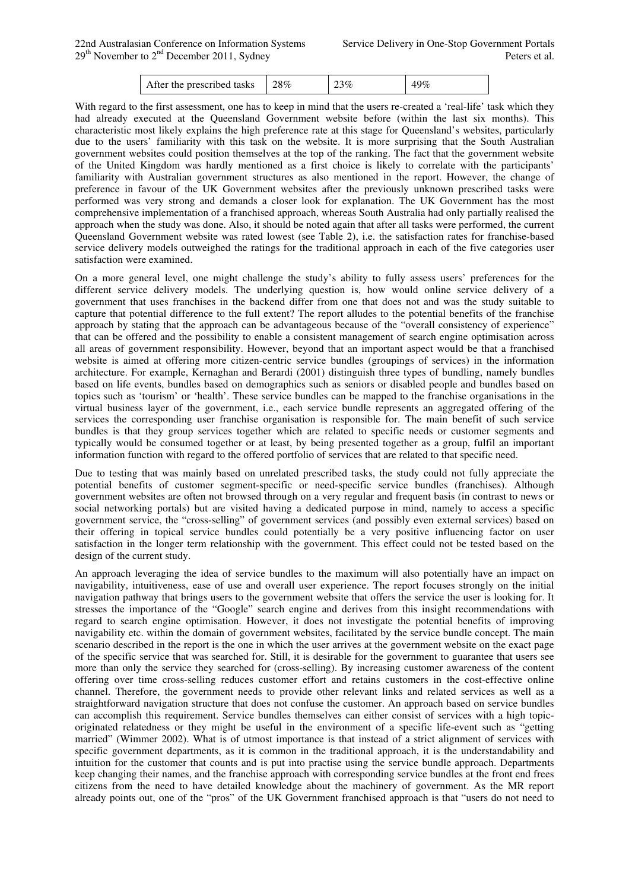With regard to the first assessment, one has to keep in mind that the users re-created a 'real-life' task which they had already executed at the Queensland Government website before (within the last six months). This characteristic most likely explains the high preference rate at this stage for Queensland's websites, particularly due to the users' familiarity with this task on the website. It is more surprising that the South Australian government websites could position themselves at the top of the ranking. The fact that the government website of the United Kingdom was hardly mentioned as a first choice is likely to correlate with the participants' familiarity with Australian government structures as also mentioned in the report. However, the change of preference in favour of the UK Government websites after the previously unknown prescribed tasks were performed was very strong and demands a closer look for explanation. The UK Government has the most comprehensive implementation of a franchised approach, whereas South Australia had only partially realised the approach when the study was done. Also, it should be noted again that after all tasks were performed, the current Queensland Government website was rated lowest (see Table 2), i.e. the satisfaction rates for franchise-based service delivery models outweighed the ratings for the traditional approach in each of the five categories user satisfaction were examined.

On a more general level, one might challenge the study's ability to fully assess users' preferences for the different service delivery models. The underlying question is, how would online service delivery of a government that uses franchises in the backend differ from one that does not and was the study suitable to capture that potential difference to the full extent? The report alludes to the potential benefits of the franchise approach by stating that the approach can be advantageous because of the "overall consistency of experience" that can be offered and the possibility to enable a consistent management of search engine optimisation across all areas of government responsibility. However, beyond that an important aspect would be that a franchised website is aimed at offering more citizen-centric service bundles (groupings of services) in the information architecture. For example, Kernaghan and Berardi (2001) distinguish three types of bundling, namely bundles based on life events, bundles based on demographics such as seniors or disabled people and bundles based on topics such as 'tourism' or 'health'. These service bundles can be mapped to the franchise organisations in the virtual business layer of the government, i.e., each service bundle represents an aggregated offering of the services the corresponding user franchise organisation is responsible for. The main benefit of such service bundles is that they group services together which are related to specific needs or customer segments and typically would be consumed together or at least, by being presented together as a group, fulfil an important information function with regard to the offered portfolio of services that are related to that specific need.

Due to testing that was mainly based on unrelated prescribed tasks, the study could not fully appreciate the potential benefits of customer segment-specific or need-specific service bundles (franchises). Although government websites are often not browsed through on a very regular and frequent basis (in contrast to news or social networking portals) but are visited having a dedicated purpose in mind, namely to access a specific government service, the "cross-selling" of government services (and possibly even external services) based on their offering in topical service bundles could potentially be a very positive influencing factor on user satisfaction in the longer term relationship with the government. This effect could not be tested based on the design of the current study.

An approach leveraging the idea of service bundles to the maximum will also potentially have an impact on navigability, intuitiveness, ease of use and overall user experience. The report focuses strongly on the initial navigation pathway that brings users to the government website that offers the service the user is looking for. It stresses the importance of the "Google" search engine and derives from this insight recommendations with regard to search engine optimisation. However, it does not investigate the potential benefits of improving navigability etc. within the domain of government websites, facilitated by the service bundle concept. The main scenario described in the report is the one in which the user arrives at the government website on the exact page of the specific service that was searched for. Still, it is desirable for the government to guarantee that users see more than only the service they searched for (cross-selling). By increasing customer awareness of the content offering over time cross-selling reduces customer effort and retains customers in the cost-effective online channel. Therefore, the government needs to provide other relevant links and related services as well as a straightforward navigation structure that does not confuse the customer. An approach based on service bundles can accomplish this requirement. Service bundles themselves can either consist of services with a high topicoriginated relatedness or they might be useful in the environment of a specific life-event such as "getting married" (Wimmer 2002). What is of utmost importance is that instead of a strict alignment of services with specific government departments, as it is common in the traditional approach, it is the understandability and intuition for the customer that counts and is put into practise using the service bundle approach. Departments keep changing their names, and the franchise approach with corresponding service bundles at the front end frees citizens from the need to have detailed knowledge about the machinery of government. As the MR report already points out, one of the "pros" of the UK Government franchised approach is that "users do not need to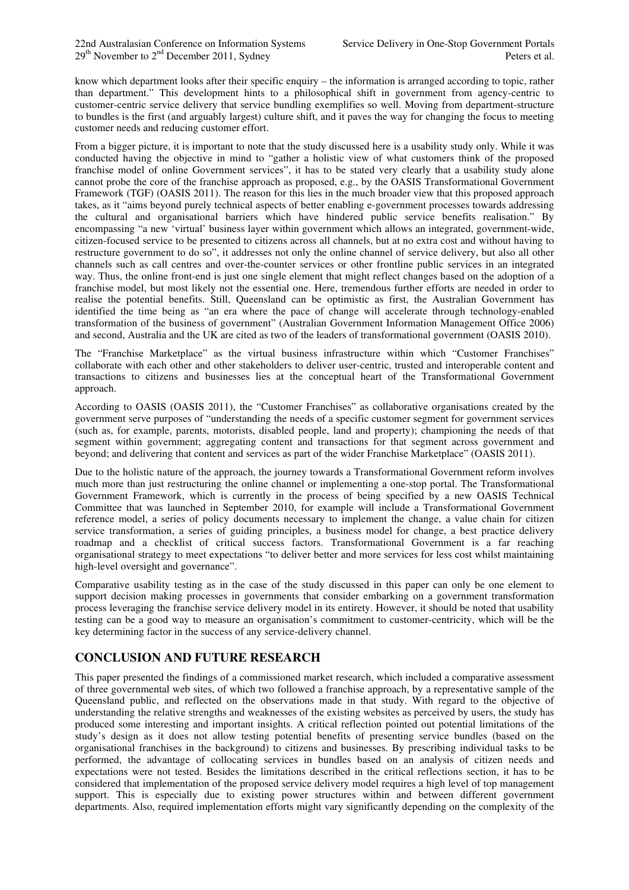know which department looks after their specific enquiry – the information is arranged according to topic, rather than department." This development hints to a philosophical shift in government from agency-centric to customer-centric service delivery that service bundling exemplifies so well. Moving from department-structure to bundles is the first (and arguably largest) culture shift, and it paves the way for changing the focus to meeting customer needs and reducing customer effort.

From a bigger picture, it is important to note that the study discussed here is a usability study only. While it was conducted having the objective in mind to "gather a holistic view of what customers think of the proposed franchise model of online Government services", it has to be stated very clearly that a usability study alone cannot probe the core of the franchise approach as proposed, e.g., by the OASIS Transformational Government Framework (TGF) (OASIS 2011). The reason for this lies in the much broader view that this proposed approach takes, as it "aims beyond purely technical aspects of better enabling e-government processes towards addressing the cultural and organisational barriers which have hindered public service benefits realisation." By encompassing "a new 'virtual' business layer within government which allows an integrated, government-wide, citizen-focused service to be presented to citizens across all channels, but at no extra cost and without having to restructure government to do so", it addresses not only the online channel of service delivery, but also all other channels such as call centres and over-the-counter services or other frontline public services in an integrated way. Thus, the online front-end is just one single element that might reflect changes based on the adoption of a franchise model, but most likely not the essential one. Here, tremendous further efforts are needed in order to realise the potential benefits. Still, Queensland can be optimistic as first, the Australian Government has identified the time being as "an era where the pace of change will accelerate through technology-enabled transformation of the business of government" (Australian Government Information Management Office 2006) and second, Australia and the UK are cited as two of the leaders of transformational government (OASIS 2010).

The "Franchise Marketplace" as the virtual business infrastructure within which "Customer Franchises" collaborate with each other and other stakeholders to deliver user-centric, trusted and interoperable content and transactions to citizens and businesses lies at the conceptual heart of the Transformational Government approach.

According to OASIS (OASIS 2011), the "Customer Franchises" as collaborative organisations created by the government serve purposes of "understanding the needs of a specific customer segment for government services (such as, for example, parents, motorists, disabled people, land and property); championing the needs of that segment within government; aggregating content and transactions for that segment across government and beyond; and delivering that content and services as part of the wider Franchise Marketplace" (OASIS 2011).

Due to the holistic nature of the approach, the journey towards a Transformational Government reform involves much more than just restructuring the online channel or implementing a one-stop portal. The Transformational Government Framework, which is currently in the process of being specified by a new OASIS Technical Committee that was launched in September 2010, for example will include a Transformational Government reference model, a series of policy documents necessary to implement the change, a value chain for citizen service transformation, a series of guiding principles, a business model for change, a best practice delivery roadmap and a checklist of critical success factors. Transformational Government is a far reaching organisational strategy to meet expectations "to deliver better and more services for less cost whilst maintaining high-level oversight and governance".

Comparative usability testing as in the case of the study discussed in this paper can only be one element to support decision making processes in governments that consider embarking on a government transformation process leveraging the franchise service delivery model in its entirety. However, it should be noted that usability testing can be a good way to measure an organisation's commitment to customer-centricity, which will be the key determining factor in the success of any service-delivery channel.

# **CONCLUSION AND FUTURE RESEARCH**

This paper presented the findings of a commissioned market research, which included a comparative assessment of three governmental web sites, of which two followed a franchise approach, by a representative sample of the Queensland public, and reflected on the observations made in that study. With regard to the objective of understanding the relative strengths and weaknesses of the existing websites as perceived by users, the study has produced some interesting and important insights. A critical reflection pointed out potential limitations of the study's design as it does not allow testing potential benefits of presenting service bundles (based on the organisational franchises in the background) to citizens and businesses. By prescribing individual tasks to be performed, the advantage of collocating services in bundles based on an analysis of citizen needs and expectations were not tested. Besides the limitations described in the critical reflections section, it has to be considered that implementation of the proposed service delivery model requires a high level of top management support. This is especially due to existing power structures within and between different government departments. Also, required implementation efforts might vary significantly depending on the complexity of the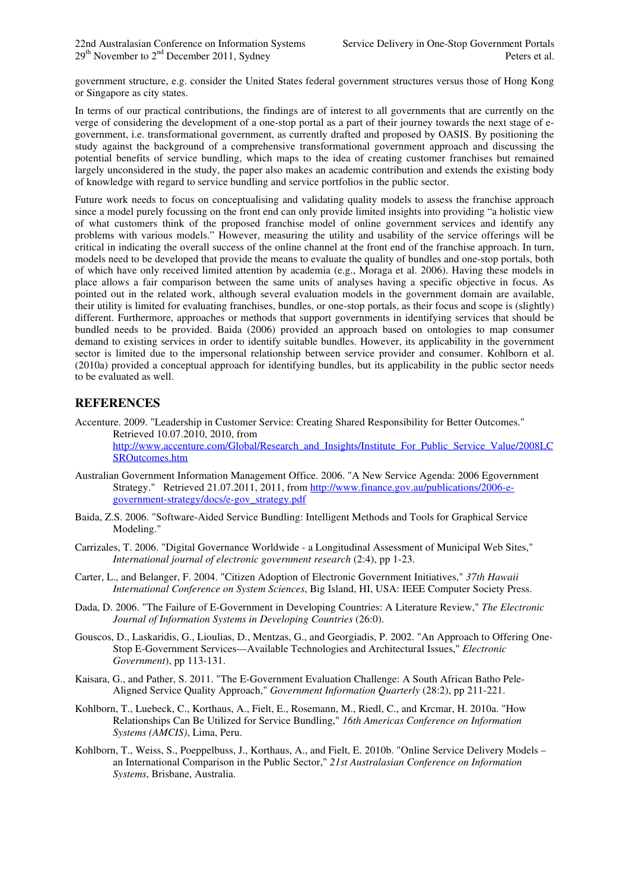government structure, e.g. consider the United States federal government structures versus those of Hong Kong or Singapore as city states.

In terms of our practical contributions, the findings are of interest to all governments that are currently on the verge of considering the development of a one-stop portal as a part of their journey towards the next stage of egovernment, i.e. transformational government, as currently drafted and proposed by OASIS. By positioning the study against the background of a comprehensive transformational government approach and discussing the potential benefits of service bundling, which maps to the idea of creating customer franchises but remained largely unconsidered in the study, the paper also makes an academic contribution and extends the existing body of knowledge with regard to service bundling and service portfolios in the public sector.

Future work needs to focus on conceptualising and validating quality models to assess the franchise approach since a model purely focussing on the front end can only provide limited insights into providing "a holistic view of what customers think of the proposed franchise model of online government services and identify any problems with various models." However, measuring the utility and usability of the service offerings will be critical in indicating the overall success of the online channel at the front end of the franchise approach. In turn, models need to be developed that provide the means to evaluate the quality of bundles and one-stop portals, both of which have only received limited attention by academia (e.g., Moraga et al. 2006). Having these models in place allows a fair comparison between the same units of analyses having a specific objective in focus. As pointed out in the related work, although several evaluation models in the government domain are available, their utility is limited for evaluating franchises, bundles, or one-stop portals, as their focus and scope is (slightly) different. Furthermore, approaches or methods that support governments in identifying services that should be bundled needs to be provided. Baida (2006) provided an approach based on ontologies to map consumer demand to existing services in order to identify suitable bundles. However, its applicability in the government sector is limited due to the impersonal relationship between service provider and consumer. Kohlborn et al. (2010a) provided a conceptual approach for identifying bundles, but its applicability in the public sector needs to be evaluated as well.

# **REFERENCES**

Accenture. 2009. "Leadership in Customer Service: Creating Shared Responsibility for Better Outcomes." Retrieved 10.07.2010, 2010, from http://www.accenture.com/Global/Research\_and\_Insights/Institute\_For\_Public\_Service\_Value/2008LC SROutcomes.htm

- Australian Government Information Management Office. 2006. "A New Service Agenda: 2006 Egovernment Strategy." Retrieved 21.07.2011, 2011, from http://www.finance.gov.au/publications/2006-egovernment-strategy/docs/e-gov\_strategy.pdf
- Baida, Z.S. 2006. "Software-Aided Service Bundling: Intelligent Methods and Tools for Graphical Service Modeling."
- Carrizales, T. 2006. "Digital Governance Worldwide a Longitudinal Assessment of Municipal Web Sites," *International journal of electronic government research* (2:4), pp 1-23.
- Carter, L., and Belanger, F. 2004. "Citizen Adoption of Electronic Government Initiatives," *37th Hawaii International Conference on System Sciences*, Big Island, HI, USA: IEEE Computer Society Press.
- Dada, D. 2006. "The Failure of E-Government in Developing Countries: A Literature Review," *The Electronic Journal of Information Systems in Developing Countries* (26:0).
- Gouscos, D., Laskaridis, G., Lioulias, D., Mentzas, G., and Georgiadis, P. 2002. "An Approach to Offering One-Stop E-Government Services—Available Technologies and Architectural Issues," *Electronic Government*), pp 113-131.
- Kaisara, G., and Pather, S. 2011. "The E-Government Evaluation Challenge: A South African Batho Pele-Aligned Service Quality Approach," *Government Information Quarterly* (28:2), pp 211-221.
- Kohlborn, T., Luebeck, C., Korthaus, A., Fielt, E., Rosemann, M., Riedl, C., and Krcmar, H. 2010a. "How Relationships Can Be Utilized for Service Bundling," *16th Americas Conference on Information Systems (AMCIS)*, Lima, Peru.
- Kohlborn, T., Weiss, S., Poeppelbuss, J., Korthaus, A., and Fielt, E. 2010b. "Online Service Delivery Models an International Comparison in the Public Sector," *21st Australasian Conference on Information Systems*, Brisbane, Australia.